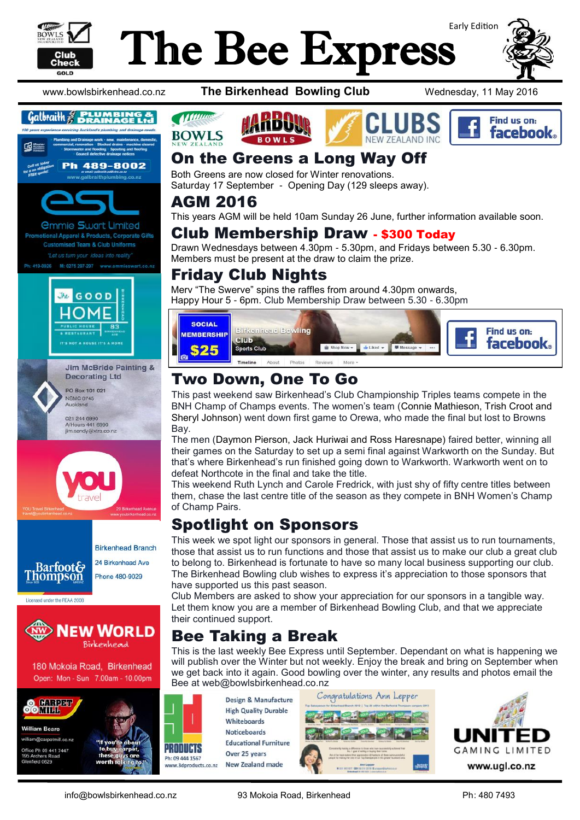

# The Bee Express









Phone 480-9029

**Barfoot& Thompson** 

Licensed under the REAA 2008



180 Mokoia Road, Birkenhead Open: Mon - Sun 7.00am - 10.00pm



**William Beare** william@carpetmill.co.nz ice Ph 09 441 7447 ers Road field 0629



www.bowlsbirkenhead.co.nz **The Birkenhead Bowling Club** Wednesday, 11 May 2016







#### On the Greens a Long Way Off

Both Greens are now closed for Winter renovations.

Saturday 17 September - Opening Day (129 sleeps away).

AGM 2016

*Mumm* 

**BOWLS** 

This years AGM will be held 10am Sunday 26 June, further information available soon.

#### Club Membership Draw - \$300 Today

Drawn Wednesdays between 4.30pm - 5.30pm, and Fridays between 5.30 - 6.30pm. Members must be present at the draw to claim the prize.

### Friday Club Nights

Merv "The Swerve" spins the raffles from around 4.30pm onwards, Happy Hour 5 - 6pm. Club Membership Draw between 5.30 - 6.30pm



## Two Down, One To Go

This past weekend saw Birkenhead's Club Championship Triples teams compete in the BNH Champ of Champs events. The women's team (Connie Mathieson, Trish Croot and Sheryl Johnson) went down first game to Orewa, who made the final but lost to Browns Bay.

The men (Daymon Pierson, Jack Huriwai and Ross Haresnape) faired better, winning all their games on the Saturday to set up a semi final against Warkworth on the Sunday. But that's where Birkenhead's run finished going down to Warkworth. Warkworth went on to defeat Northcote in the final and take the title.

This weekend Ruth Lynch and Carole Fredrick, with just shy of fifty centre titles between them, chase the last centre title of the season as they compete in BNH Women's Champ of Champ Pairs.

## Spotlight on Sponsors

This week we spot light our sponsors in general. Those that assist us to run tournaments, those that assist us to run functions and those that assist us to make our club a great club to belong to. Birkenhead is fortunate to have so many local business supporting our club. The Birkenhead Bowling club wishes to express it's appreciation to those sponsors that have supported us this past season.

Club Members are asked to show your appreciation for our sponsors in a tangible way. Let them know you are a member of Birkenhead Bowling Club, and that we appreciate their continued support.

## Bee Taking a Break

This is the last weekly Bee Express until September. Dependant on what is happening we will publish over the Winter but not weekly. Enjoy the break and bring on September when we get back into it again. Good bowling over the winter, any results and photos email the Bee at web@bowlsbirkenhead.co.nz

Design & Manufacture **High Quality Durable** Whiteboards **Noticeboards Educational Furniture** Over 25 years New Zealand made